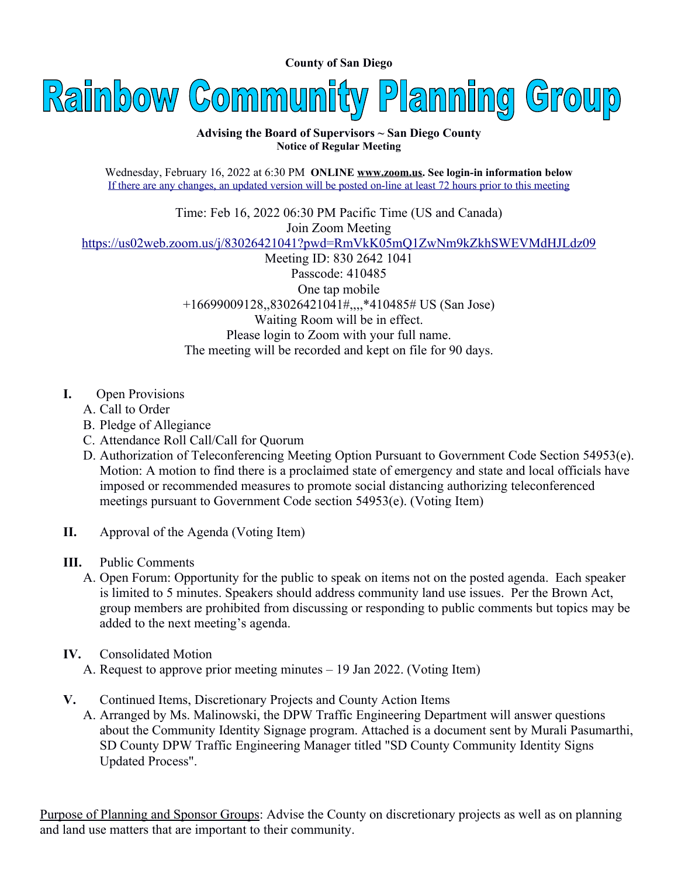**County of San Diego** 

Rainbow Community Planning Group

#### **Advising the Board of Supervisors ~ San Diego County Notice of Regular Meeting**

Wednesday, February 16, 2022 at 6:30 PM **ONLINE [www.zoom.us.](http://www.zoom.us/) See login-in information below** If there are any changes, an updated version will be posted on-line at least 72 hours prior to this meeting

Time: Feb 16, 2022 06:30 PM Pacific Time (US and Canada) Join Zoom Meeting <https://us02web.zoom.us/j/83026421041?pwd=RmVkK05mQ1ZwNm9kZkhSWEVMdHJLdz09> Meeting ID: 830 2642 1041 Passcode: 410485 One tap mobile +16699009128,,83026421041#,,,,\*410485# US (San Jose) Waiting Room will be in effect. Please login to Zoom with your full name. The meeting will be recorded and kept on file for 90 days.

- **I.** Open Provisions
	- A. Call to Order
	- B. Pledge of Allegiance
	- C. Attendance Roll Call/Call for Quorum
	- D. Authorization of Teleconferencing Meeting Option Pursuant to Government Code Section 54953(e). Motion: A motion to find there is a proclaimed state of emergency and state and local officials have imposed or recommended measures to promote social distancing authorizing teleconferenced meetings pursuant to Government Code section 54953(e). (Voting Item)
- **II.** Approval of the Agenda (Voting Item)
- **III.** Public Comments
	- A. Open Forum: Opportunity for the public to speak on items not on the posted agenda. Each speaker is limited to 5 minutes. Speakers should address community land use issues. Per the Brown Act, group members are prohibited from discussing or responding to public comments but topics may be added to the next meeting's agenda.
- **IV.** Consolidated Motion
	- A. Request to approve prior meeting minutes 19 Jan 2022. (Voting Item)
- **V.** Continued Items, Discretionary Projects and County Action Items
	- A. Arranged by Ms. Malinowski, the DPW Traffic Engineering Department will answer questions about the Community Identity Signage program. Attached is a document sent by Murali Pasumarthi, SD County DPW Traffic Engineering Manager titled "SD County Community Identity Signs Updated Process".

Purpose of Planning and Sponsor Groups: Advise the County on discretionary projects as well as on planning and land use matters that are important to their community.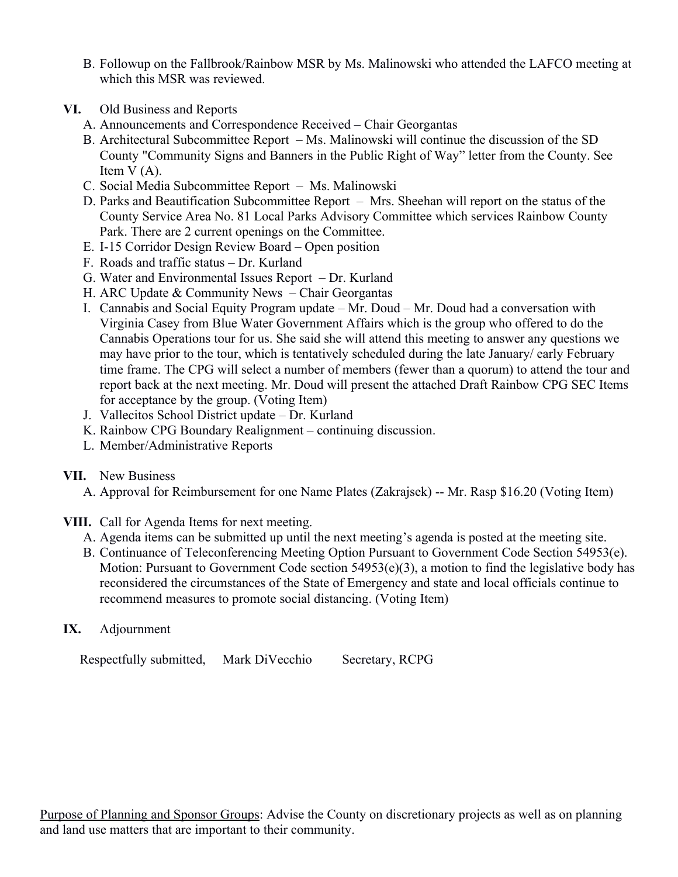- B. Followup on the Fallbrook/Rainbow MSR by Ms. Malinowski who attended the LAFCO meeting at which this MSR was reviewed.
- **VI.** Old Business and Reports
	- A. Announcements and Correspondence Received Chair Georgantas
	- B. Architectural Subcommittee Report Ms. Malinowski will continue the discussion of the SD County "Community Signs and Banners in the Public Right of Way" letter from the County. See Item V (A).
	- C. Social Media Subcommittee Report Ms. Malinowski
	- D. Parks and Beautification Subcommittee Report Mrs. Sheehan will report on the status of the County Service Area No. 81 Local Parks Advisory Committee which services Rainbow County Park. There are 2 current openings on the Committee.
	- E. I-15 Corridor Design Review Board Open position
	- F. Roads and traffic status Dr. Kurland
	- G. Water and Environmental Issues Report Dr. Kurland
	- H. ARC Update & Community News Chair Georgantas
	- I. Cannabis and Social Equity Program update Mr. Doud Mr. Doud had a conversation with Virginia Casey from Blue Water Government Affairs which is the group who offered to do the Cannabis Operations tour for us. She said she will attend this meeting to answer any questions we may have prior to the tour, which is tentatively scheduled during the late January/ early February time frame. The CPG will select a number of members (fewer than a quorum) to attend the tour and report back at the next meeting. Mr. Doud will present the attached Draft Rainbow CPG SEC Items for acceptance by the group. (Voting Item)
	- J. Vallecitos School District update Dr. Kurland
	- K. Rainbow CPG Boundary Realignment continuing discussion.
	- L. Member/Administrative Reports
- **VII.** New Business
	- A. Approval for Reimbursement for one Name Plates (Zakrajsek) -- Mr. Rasp \$16.20 (Voting Item)
- **VIII.** Call for Agenda Items for next meeting.
	- A. Agenda items can be submitted up until the next meeting's agenda is posted at the meeting site.
	- B. Continuance of Teleconferencing Meeting Option Pursuant to Government Code Section 54953(e). Motion: Pursuant to Government Code section 54953(e)(3), a motion to find the legislative body has reconsidered the circumstances of the State of Emergency and state and local officials continue to recommend measures to promote social distancing. (Voting Item)

# **IX.** Adjournment

Respectfully submitted, Mark DiVecchio Secretary, RCPG

Purpose of Planning and Sponsor Groups: Advise the County on discretionary projects as well as on planning and land use matters that are important to their community.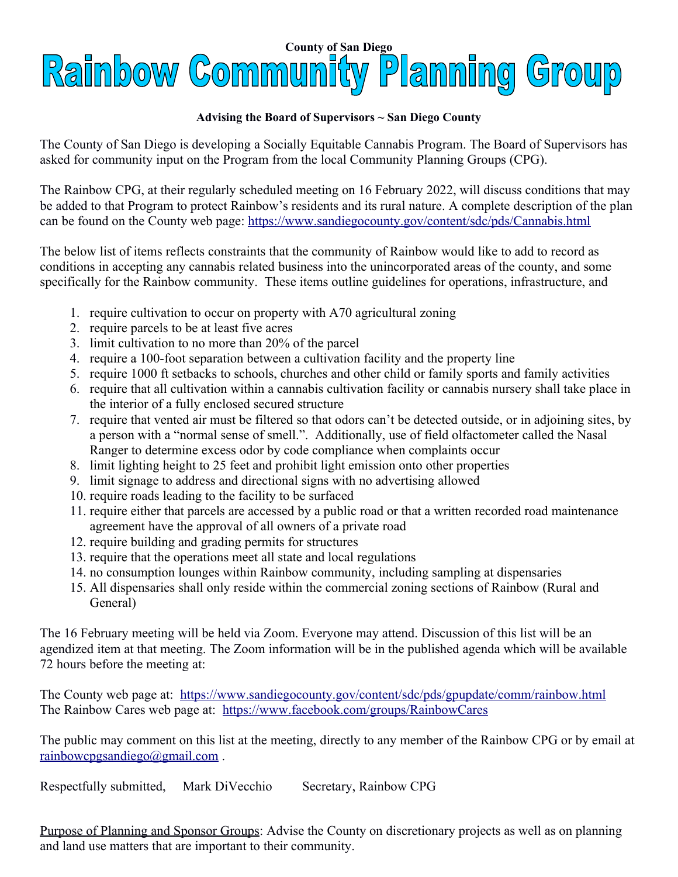# **County of San Diego**<br>Raimbow Community Plamning Group

#### **Advising the Board of Supervisors ~ San Diego County**

The County of San Diego is developing a Socially Equitable Cannabis Program. The Board of Supervisors has asked for community input on the Program from the local Community Planning Groups (CPG).

The Rainbow CPG, at their regularly scheduled meeting on 16 February 2022, will discuss conditions that may be added to that Program to protect Rainbow's residents and its rural nature. A complete description of the plan can be found on the County web page:<https://www.sandiegocounty.gov/content/sdc/pds/Cannabis.html>

The below list of items reflects constraints that the community of Rainbow would like to add to record as conditions in accepting any cannabis related business into the unincorporated areas of the county, and some specifically for the Rainbow community. These items outline guidelines for operations, infrastructure, and

- 1. require cultivation to occur on property with A70 agricultural zoning
- 2. require parcels to be at least five acres
- 3. limit cultivation to no more than 20% of the parcel
- 4. require a 100-foot separation between a cultivation facility and the property line
- 5. require 1000 ft setbacks to schools, churches and other child or family sports and family activities
- 6. require that all cultivation within a cannabis cultivation facility or cannabis nursery shall take place in the interior of a fully enclosed secured structure
- 7. require that vented air must be filtered so that odors can't be detected outside, or in adjoining sites, by a person with a "normal sense of smell.". Additionally, use of field olfactometer called the Nasal Ranger to determine excess odor by code compliance when complaints occur
- 8. limit lighting height to 25 feet and prohibit light emission onto other properties
- 9. limit signage to address and directional signs with no advertising allowed
- 10. require roads leading to the facility to be surfaced
- 11. require either that parcels are accessed by a public road or that a written recorded road maintenance agreement have the approval of all owners of a private road
- 12. require building and grading permits for structures
- 13. require that the operations meet all state and local regulations
- 14. no consumption lounges within Rainbow community, including sampling at dispensaries
- 15. All dispensaries shall only reside within the commercial zoning sections of Rainbow (Rural and General)

The 16 February meeting will be held via Zoom. Everyone may attend. Discussion of this list will be an agendized item at that meeting. The Zoom information will be in the published agenda which will be available 72 hours before the meeting at:

The County web page at: <https://www.sandiegocounty.gov/content/sdc/pds/gpupdate/comm/rainbow.html> The Rainbow Cares web page at: <https://www.facebook.com/groups/RainbowCares>

The public may comment on this list at the meeting, directly to any member of the Rainbow CPG or by email at [rainbowcpgsandiego@gmail.com](mailto:rainbowcpgsandiego@gmail.com) .

Respectfully submitted, Mark DiVecchio Secretary, Rainbow CPG

Purpose of Planning and Sponsor Groups: Advise the County on discretionary projects as well as on planning and land use matters that are important to their community.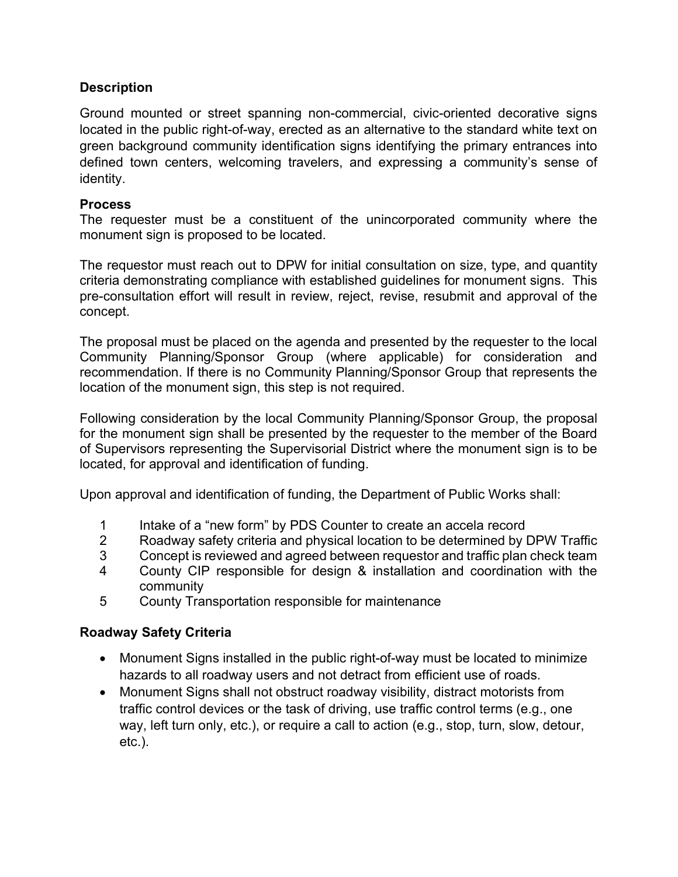## **Description**

Ground mounted or street spanning non-commercial, civic-oriented decorative signs located in the public right-of-way, erected as an alternative to the standard white text on green background community identification signs identifying the primary entrances into defined town centers, welcoming travelers, and expressing a community's sense of identity.

### **Process**

The requester must be a constituent of the unincorporated community where the monument sign is proposed to be located.

The requestor must reach out to DPW for initial consultation on size, type, and quantity criteria demonstrating compliance with established guidelines for monument signs. This pre-consultation effort will result in review, reject, revise, resubmit and approval of the concept.

The proposal must be placed on the agenda and presented by the requester to the local Community Planning/Sponsor Group (where applicable) for consideration and recommendation. If there is no Community Planning/Sponsor Group that represents the location of the monument sign, this step is not required.

Following consideration by the local Community Planning/Sponsor Group, the proposal for the monument sign shall be presented by the requester to the member of the Board of Supervisors representing the Supervisorial District where the monument sign is to be located, for approval and identification of funding.

Upon approval and identification of funding, the Department of Public Works shall:

- 1 Intake of a "new form" by PDS Counter to create an accela record
- 2 Roadway safety criteria and physical location to be determined by DPW Traffic
- 3 Concept is reviewed and agreed between requestor and traffic plan check team
- 4 County CIP responsible for design & installation and coordination with the community
- 5 County Transportation responsible for maintenance

# Roadway Safety Criteria

- Monument Signs installed in the public right-of-way must be located to minimize hazards to all roadway users and not detract from efficient use of roads.
- Monument Signs shall not obstruct roadway visibility, distract motorists from traffic control devices or the task of driving, use traffic control terms (e.g., one way, left turn only, etc.), or require a call to action (e.g., stop, turn, slow, detour, etc.).